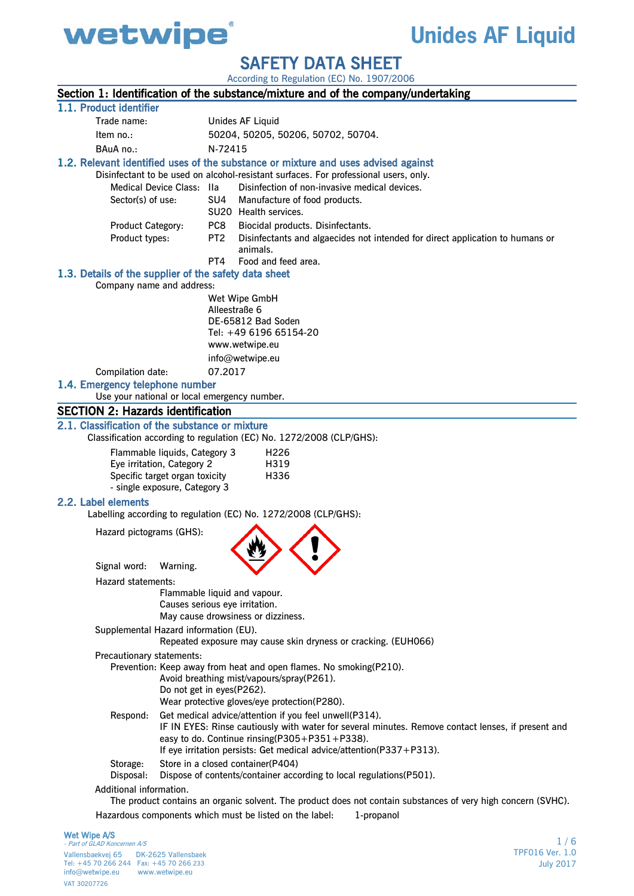

## **Unides AF Liquid**

SAFETY DATA SHEET

|                                                                                    |                                                       |                                                              |                                | According to Regulation (EC) No. 1907/2006                                           |                                                                                                               |  |
|------------------------------------------------------------------------------------|-------------------------------------------------------|--------------------------------------------------------------|--------------------------------|--------------------------------------------------------------------------------------|---------------------------------------------------------------------------------------------------------------|--|
|                                                                                    |                                                       |                                                              |                                |                                                                                      | Section 1: Identification of the substance/mixture and of the company/undertaking                             |  |
|                                                                                    | 1.1. Product identifier                               |                                                              |                                |                                                                                      |                                                                                                               |  |
|                                                                                    | Trade name:                                           |                                                              | Unides AF Liquid               |                                                                                      |                                                                                                               |  |
|                                                                                    | Item no.:                                             |                                                              |                                | 50204, 50205, 50206, 50702, 50704.                                                   |                                                                                                               |  |
|                                                                                    | BAuA no.:                                             |                                                              | N-72415                        |                                                                                      |                                                                                                               |  |
| 1.2. Relevant identified uses of the substance or mixture and uses advised against |                                                       |                                                              |                                |                                                                                      |                                                                                                               |  |
|                                                                                    |                                                       |                                                              |                                | Disinfectant to be used on alcohol-resistant surfaces. For professional users, only. |                                                                                                               |  |
|                                                                                    |                                                       | Medical Device Class:                                        | lla                            | Disinfection of non-invasive medical devices.                                        |                                                                                                               |  |
|                                                                                    | Sector(s) of use:                                     |                                                              | SU4                            | Manufacture of food products.<br>SU20 Health services.                               |                                                                                                               |  |
|                                                                                    | Product Category:                                     |                                                              | PC8 l                          | Biocidal products. Disinfectants.                                                    |                                                                                                               |  |
|                                                                                    | Product types:                                        |                                                              | PT <sub>2</sub>                |                                                                                      | Disinfectants and algaecides not intended for direct application to humans or                                 |  |
|                                                                                    |                                                       |                                                              |                                | animals.                                                                             |                                                                                                               |  |
|                                                                                    |                                                       |                                                              | PT4                            | Food and feed area.                                                                  |                                                                                                               |  |
|                                                                                    | 1.3. Details of the supplier of the safety data sheet |                                                              |                                |                                                                                      |                                                                                                               |  |
|                                                                                    | Company name and address:                             |                                                              |                                |                                                                                      |                                                                                                               |  |
|                                                                                    |                                                       |                                                              | Wet Wipe GmbH<br>Alleestraße 6 |                                                                                      |                                                                                                               |  |
|                                                                                    |                                                       |                                                              |                                | DE-65812 Bad Soden                                                                   |                                                                                                               |  |
|                                                                                    |                                                       |                                                              |                                | Tel: +49 6196 65154-20                                                               |                                                                                                               |  |
|                                                                                    |                                                       |                                                              | www.wetwipe.eu                 |                                                                                      |                                                                                                               |  |
|                                                                                    |                                                       |                                                              |                                | info@wetwipe.eu                                                                      |                                                                                                               |  |
|                                                                                    | Compilation date:                                     |                                                              | 07.2017                        |                                                                                      |                                                                                                               |  |
|                                                                                    | 1.4. Emergency telephone number                       |                                                              |                                |                                                                                      |                                                                                                               |  |
|                                                                                    | Use your national or local emergency number.          |                                                              |                                |                                                                                      |                                                                                                               |  |
|                                                                                    | <b>SECTION 2: Hazards identification</b>              |                                                              |                                |                                                                                      |                                                                                                               |  |
|                                                                                    | 2.1. Classification of the substance or mixture       |                                                              |                                |                                                                                      |                                                                                                               |  |
|                                                                                    |                                                       |                                                              |                                | Classification according to regulation (EC) No. 1272/2008 (CLP/GHS):                 |                                                                                                               |  |
|                                                                                    |                                                       | Flammable liquids, Category 3                                |                                | H <sub>226</sub>                                                                     |                                                                                                               |  |
|                                                                                    |                                                       | Eye irritation, Category 2<br>Specific target organ toxicity |                                | H319<br>H336                                                                         |                                                                                                               |  |
|                                                                                    |                                                       | - single exposure, Category 3                                |                                |                                                                                      |                                                                                                               |  |
|                                                                                    | 2.2. Label elements                                   |                                                              |                                |                                                                                      |                                                                                                               |  |
|                                                                                    |                                                       |                                                              |                                | Labelling according to regulation (EC) No. 1272/2008 (CLP/GHS):                      |                                                                                                               |  |
|                                                                                    |                                                       |                                                              |                                |                                                                                      |                                                                                                               |  |
|                                                                                    | Hazard pictograms (GHS):                              |                                                              |                                |                                                                                      |                                                                                                               |  |
|                                                                                    |                                                       |                                                              |                                |                                                                                      |                                                                                                               |  |
|                                                                                    | Signal word:                                          | Warning.                                                     |                                |                                                                                      |                                                                                                               |  |
|                                                                                    | Hazard statements:                                    |                                                              |                                |                                                                                      |                                                                                                               |  |
|                                                                                    |                                                       | Flammable liquid and vapour.                                 |                                |                                                                                      |                                                                                                               |  |
|                                                                                    |                                                       | Causes serious eye irritation.                               |                                |                                                                                      |                                                                                                               |  |
|                                                                                    |                                                       |                                                              |                                | May cause drowsiness or dizziness.                                                   |                                                                                                               |  |
|                                                                                    | Supplemental Hazard information (EU).                 |                                                              |                                | Repeated exposure may cause skin dryness or cracking. (EUH066)                       |                                                                                                               |  |
|                                                                                    | Precautionary statements:                             |                                                              |                                |                                                                                      |                                                                                                               |  |
|                                                                                    |                                                       |                                                              |                                | Prevention: Keep away from heat and open flames. No smoking(P210).                   |                                                                                                               |  |
|                                                                                    |                                                       |                                                              |                                | Avoid breathing mist/vapours/spray(P261).                                            |                                                                                                               |  |
|                                                                                    |                                                       | Do not get in eyes(P262).                                    |                                | Wear protective gloves/eye protection(P280).                                         |                                                                                                               |  |
|                                                                                    | Respond:                                              |                                                              |                                | Get medical advice/attention if you feel unwell(P314).                               |                                                                                                               |  |
|                                                                                    |                                                       |                                                              |                                |                                                                                      | IF IN EYES: Rinse cautiously with water for several minutes. Remove contact lenses, if present and            |  |
|                                                                                    |                                                       |                                                              |                                | easy to do. Continue rinsing(P305+P351+P338).                                        |                                                                                                               |  |
|                                                                                    |                                                       |                                                              |                                | If eye irritation persists: Get medical advice/attention(P337+P313).                 |                                                                                                               |  |
|                                                                                    | Storage:                                              |                                                              |                                | Store in a closed container (P404)                                                   |                                                                                                               |  |
|                                                                                    | Disposal:                                             |                                                              |                                | Dispose of contents/container according to local regulations(P501).                  |                                                                                                               |  |
|                                                                                    | Additional information.                               |                                                              |                                |                                                                                      |                                                                                                               |  |
|                                                                                    |                                                       |                                                              |                                |                                                                                      | The product contains an organic solvent. The product does not contain substances of very high concern (SVHC). |  |
|                                                                                    |                                                       |                                                              |                                | Hazardous components which must be listed on the label:                              | 1-propanol                                                                                                    |  |

## Wet Wipe A/S

- Part of GLAD Koncernen A/S Vallensbaekvej 65 DK-2625 Vallensbaek Tel: +45 70 266 244 Fax: +45 70 266 233 info@wetwipe.eu www.wetwipe.eu VAT 30207726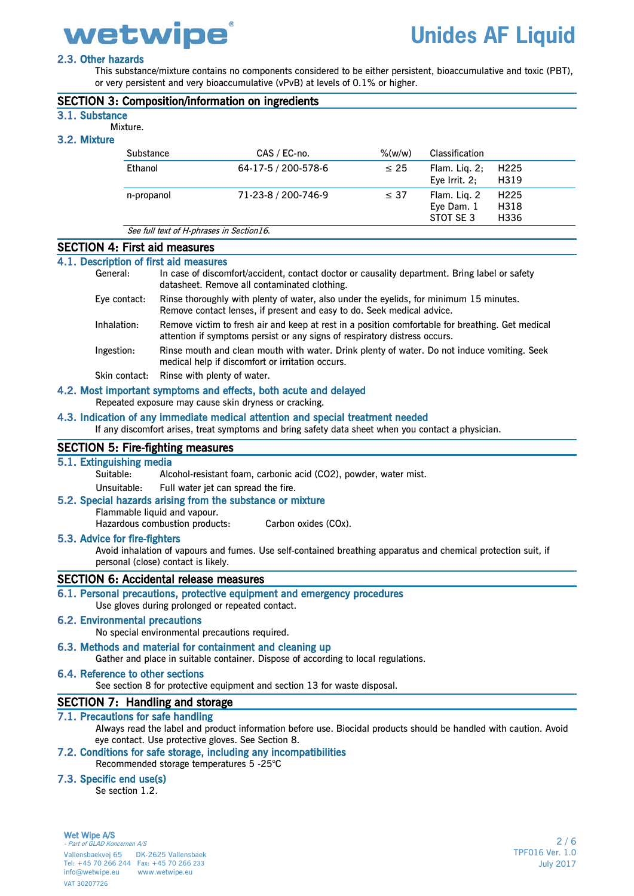

## 2.3. Other hazards

This substance/mixture contains no components considered to be either persistent, bioaccumulative and toxic (PBT), or very persistent and very bioaccumulative (vPvB) at levels of 0.1% or higher.

|                                                                                                                                                 |  | or very persistent and very bioaccumulative (vPvB) at levels of 0.1% or higher.<br><b>SECTION 3: Composition/information on ingredients</b>                                           |            |                                         |                                  |
|-------------------------------------------------------------------------------------------------------------------------------------------------|--|---------------------------------------------------------------------------------------------------------------------------------------------------------------------------------------|------------|-----------------------------------------|----------------------------------|
| 3.1. Substance                                                                                                                                  |  |                                                                                                                                                                                       |            |                                         |                                  |
| Mixture.                                                                                                                                        |  |                                                                                                                                                                                       |            |                                         |                                  |
| 3.2. Mixture                                                                                                                                    |  |                                                                                                                                                                                       |            |                                         |                                  |
| Substance                                                                                                                                       |  | CAS / EC-no.                                                                                                                                                                          | $\%$ (w/w) | Classification                          |                                  |
| Ethanol                                                                                                                                         |  | 64-17-5 / 200-578-6                                                                                                                                                                   | $\leq 25$  | Flam. Liq. 2;<br>Eye Irrit. $2$ ;       | H <sub>225</sub><br>H319         |
| n-propanol                                                                                                                                      |  | 71-23-8 / 200-746-9                                                                                                                                                                   | $\leq 37$  | Flam. Liq. 2<br>Eye Dam. 1<br>STOT SE 3 | H <sub>225</sub><br>H318<br>H336 |
|                                                                                                                                                 |  | See full text of H-phrases in Section16.                                                                                                                                              |            |                                         |                                  |
| <b>SECTION 4: First aid measures</b>                                                                                                            |  |                                                                                                                                                                                       |            |                                         |                                  |
| 4.1. Description of first aid measures<br>General:                                                                                              |  | In case of discomfort/accident, contact doctor or causality department. Bring label or safety<br>datasheet. Remove all contaminated clothing.                                         |            |                                         |                                  |
| Eye contact:                                                                                                                                    |  | Rinse thoroughly with plenty of water, also under the eyelids, for minimum 15 minutes.<br>Remove contact lenses, if present and easy to do. Seek medical advice.                      |            |                                         |                                  |
| Inhalation:                                                                                                                                     |  | Remove victim to fresh air and keep at rest in a position comfortable for breathing. Get medical<br>attention if symptoms persist or any signs of respiratory distress occurs.        |            |                                         |                                  |
| Ingestion:                                                                                                                                      |  | Rinse mouth and clean mouth with water. Drink plenty of water. Do not induce vomiting. Seek<br>medical help if discomfort or irritation occurs.                                       |            |                                         |                                  |
| Skin contact:                                                                                                                                   |  | Rinse with plenty of water.                                                                                                                                                           |            |                                         |                                  |
|                                                                                                                                                 |  | 4.2. Most important symptoms and effects, both acute and delayed<br>Repeated exposure may cause skin dryness or cracking.                                                             |            |                                         |                                  |
|                                                                                                                                                 |  | 4.3. Indication of any immediate medical attention and special treatment needed<br>If any discomfort arises, treat symptoms and bring safety data sheet when you contact a physician. |            |                                         |                                  |
| <b>SECTION 5: Fire-fighting measures</b>                                                                                                        |  |                                                                                                                                                                                       |            |                                         |                                  |
| 5.1. Extinguishing media<br>Suitable:                                                                                                           |  | Alcohol-resistant foam, carbonic acid (CO2), powder, water mist.                                                                                                                      |            |                                         |                                  |
| Unsuitable:<br>Flammable liquid and vapour.<br>Hazardous combustion products:                                                                   |  | Full water jet can spread the fire.<br>5.2. Special hazards arising from the substance or mixture<br>Carbon oxides (COx).                                                             |            |                                         |                                  |
| 5.3. Advice for fire-fighters<br>personal (close) contact is likely.                                                                            |  | Avoid inhalation of vapours and fumes. Use self-contained breathing apparatus and chemical protection suit, if                                                                        |            |                                         |                                  |
| <b>SECTION 6: Accidental release measures</b>                                                                                                   |  |                                                                                                                                                                                       |            |                                         |                                  |
|                                                                                                                                                 |  | 6.1. Personal precautions, protective equipment and emergency procedures<br>Use gloves during prolonged or repeated contact.                                                          |            |                                         |                                  |
| <b>6.2. Environmental precautions</b>                                                                                                           |  | No special environmental precautions required.                                                                                                                                        |            |                                         |                                  |
| 6.3. Methods and material for containment and cleaning up<br>Gather and place in suitable container. Dispose of according to local regulations. |  |                                                                                                                                                                                       |            |                                         |                                  |
| 6.4. Reference to other sections                                                                                                                |  | See section 8 for protective equipment and section 13 for waste disposal.                                                                                                             |            |                                         |                                  |
| SECTION 7: Handling and storage                                                                                                                 |  |                                                                                                                                                                                       |            |                                         |                                  |
| 7.1. Precautions for safe handling                                                                                                              |  |                                                                                                                                                                                       |            |                                         |                                  |
|                                                                                                                                                 |  | Always read the label and product information before use. Biocidal products should be handled with caution. Avoid<br>eye contact. Use protective gloves. See Section 8.               |            |                                         |                                  |
|                                                                                                                                                 |  | 7.2. Conditions for safe storage, including any incompatibilities<br>Recommended storage temperatures 5 -25°C                                                                         |            |                                         |                                  |
| 7.3. Specific end use(s)<br>Se section 1.2.                                                                                                     |  |                                                                                                                                                                                       |            |                                         |                                  |

Wet Wipe A/S

- Part of GLAD Koncernen A/S Vallensbaekvej 65 DK-2625 Vallensbaek Tel: +45 70 266 244 Fax: +45 70 266 233 info@wetwipe.eu www.wetwipe.eu VAT 30207726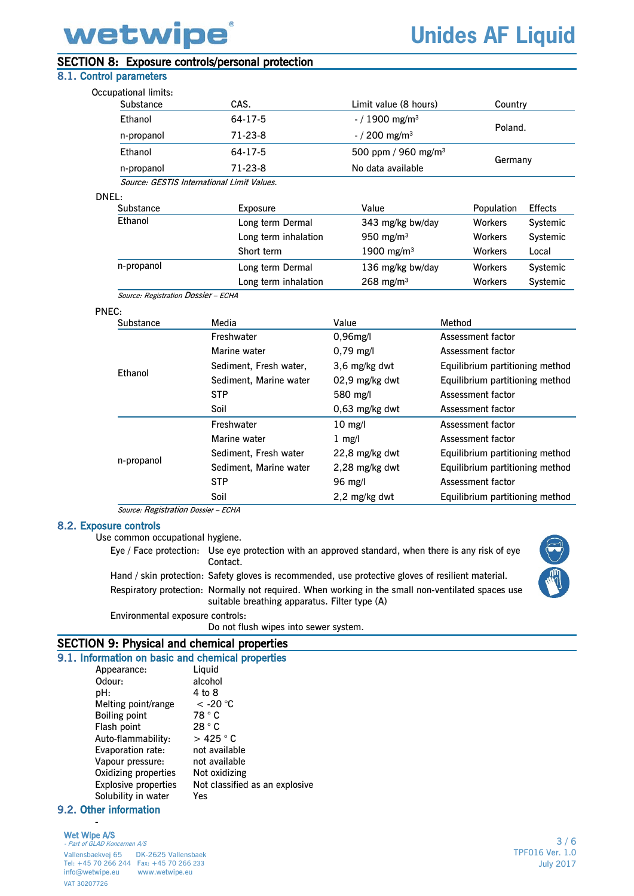# wetwipe

## **Unides AF Liquid**

## SECTION 8: Exposure controls/personal protection

## 8.1. Control parameters

| Occupational limits:                |                                            |                                 |                   |                |  |
|-------------------------------------|--------------------------------------------|---------------------------------|-------------------|----------------|--|
| Substance                           | CAS.                                       | Limit value (8 hours)           |                   | Country        |  |
| <b>Ethanol</b>                      | 64-17-5                                    | $-$ / 1900 mg/m <sup>3</sup>    |                   |                |  |
| n-propanol                          | $71-23-8$                                  | $-$ / 200 mg/m <sup>3</sup>     | Poland.           |                |  |
| Ethanol                             | 64-17-5                                    | 500 ppm / 960 mg/m <sup>3</sup> |                   |                |  |
| n-propanol                          | $71-23-8$                                  | No data available               | Germany           |                |  |
|                                     | Source: GESTIS International Limit Values. |                                 |                   |                |  |
| DNEL:                               |                                            |                                 |                   |                |  |
| Substance                           | Exposure                                   | Value                           | Population        | <b>Effects</b> |  |
| Ethanol                             | Long term Dermal                           | 343 mg/kg bw/day                | <b>Workers</b>    | Systemic       |  |
|                                     | Long term inhalation                       | 950 mg/m $3$                    | <b>Workers</b>    | Systemic       |  |
|                                     | Short term                                 | 1900 mg/m <sup>3</sup>          | <b>Workers</b>    | Local          |  |
| n-propanol                          | Long term Dermal                           | 136 mg/kg bw/day                | <b>Workers</b>    | Systemic       |  |
|                                     | Long term inhalation                       | $268 \text{ mg/m}^3$            | <b>Workers</b>    | Systemic       |  |
| Source: Registration Dossier - ECHA |                                            |                                 |                   |                |  |
| PNEC:                               |                                            |                                 |                   |                |  |
| Substance                           | Media                                      | Value                           | Method            |                |  |
|                                     | Freshwater                                 | $0,96$ mg/l                     | Assessment factor |                |  |
|                                     | Marine water                               | $0,79$ mg/l                     | Assessment factor |                |  |

| <b>LUI</b> dIIUI | Sediment, Marine water | 02,9 mg/kg dwt    | Equilibrium partitioning method |
|------------------|------------------------|-------------------|---------------------------------|
|                  | <b>STP</b>             | 580 mg/l          | Assessment factor               |
|                  | Soil                   | $0,63$ mg/kg dwt  | Assessment factor               |
|                  | Freshwater             | $10 \text{ mg/l}$ | Assessment factor               |
|                  | Marine water           | $1 \text{ mg/l}$  | Assessment factor               |
|                  | Sediment, Fresh water  | 22,8 mg/kg dwt    | Equilibrium partitioning method |
| n-propanol       | Sediment, Marine water | 2,28 mg/kg dwt    | Equilibrium partitioning method |
|                  | <b>STP</b>             | 96 mg/l           | Assessment factor               |
|                  | Soil                   | 2,2 mg/kg dwt     | Equilibrium partitioning method |
|                  |                        |                   |                                 |

Sediment, Fresh water, 3,6 mg/kg dwt Equilibrium partitioning method

Source: Registration Dossier – ECHA

#### 8.2. Exposure controls

Ethanol

Use common occupational hygiene.

Eye / Face protection: Use eye protection with an approved standard, when there is any risk of eye Contact.

Hand / skin protection: Safety gloves is recommended, use protective gloves of resilient material. Respiratory protection: Normally not required. When working in the small non-ventilated spaces use suitable breathing apparatus. Filter type (A)



Environmental exposure controls:

Do not flush wipes into sewer system.

## SECTION 9: Physical and chemical properties

|        | 9.1. Information on basic and chemical properties |                |                                |
|--------|---------------------------------------------------|----------------|--------------------------------|
|        | Appearance:                                       | Liquid         |                                |
| Odour: |                                                   | alcohol        |                                |
| pH:    |                                                   | 4 to 8         |                                |
|        | Melting point/range                               | $\rm <$ -20 °C |                                |
|        | <b>Boiling point</b>                              | 78 ° C         |                                |
|        | Flash point                                       | 28 °C          |                                |
|        | Auto-flammability:                                | $>425$ ° C     |                                |
|        | Evaporation rate:                                 | not available  |                                |
|        | Vapour pressure:                                  | not available  |                                |
|        | Oxidizing properties                              | Not oxidizing  |                                |
|        | <b>Explosive properties</b>                       |                | Not classified as an explosive |
|        | Solubility in water                               | Yes            |                                |
|        |                                                   |                |                                |

#### 9.2. Other information -

## Wet Wipe A/S

- Part of GLAD Koncernen A/S Vallensbaekvej 65 DK-2625 Vallensbaek Tel: +45 70 266 244 Fax: +45 70 266 233<br>info@wetwipe.eu www.wetwipe.eu info@wetwipe.eu VAT 30207726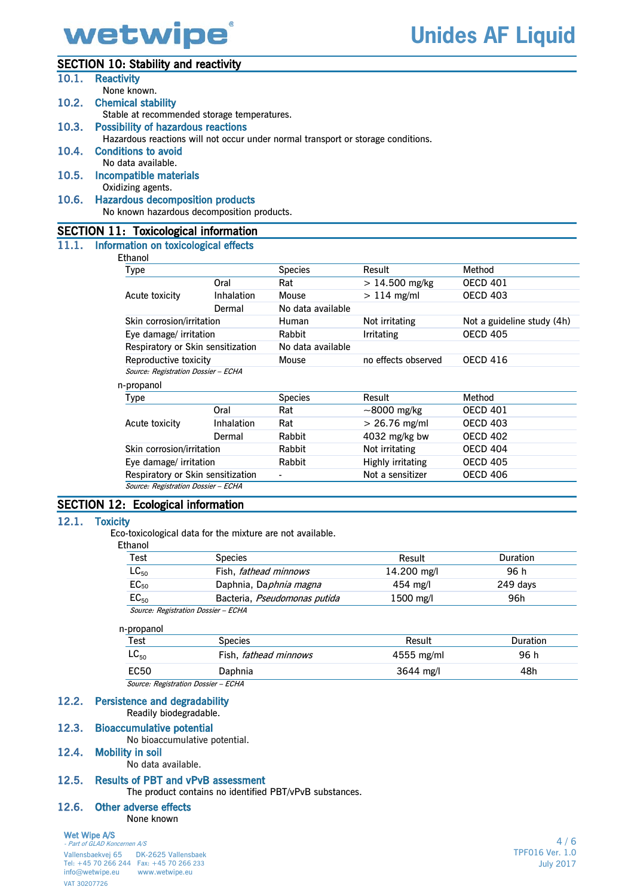

## SECTION 10: Stability and reactivity

| 10.1. | <b>Reactivity</b>                                                                |      |                |                     |                              |
|-------|----------------------------------------------------------------------------------|------|----------------|---------------------|------------------------------|
|       | None known.                                                                      |      |                |                     |                              |
|       | 10.2. Chemical stability                                                         |      |                |                     |                              |
|       | Stable at recommended storage temperatures.                                      |      |                |                     |                              |
| 10.3. | <b>Possibility of hazardous reactions</b>                                        |      |                |                     |                              |
|       | Hazardous reactions will not occur under normal transport or storage conditions. |      |                |                     |                              |
| 10.4. | <b>Conditions to avoid</b>                                                       |      |                |                     |                              |
|       | No data available.                                                               |      |                |                     |                              |
| 10.5. | Incompatible materials                                                           |      |                |                     |                              |
|       | Oxidizing agents.                                                                |      |                |                     |                              |
| 10.6. | <b>Hazardous decomposition products</b>                                          |      |                |                     |                              |
|       | No known hazardous decomposition products.                                       |      |                |                     |                              |
|       | <b>SECTION 11: Toxicological information</b>                                     |      |                |                     |                              |
|       | 11.1. Information on toxicological effects                                       |      |                |                     |                              |
|       | Ethanol                                                                          |      |                |                     |                              |
|       | Type                                                                             |      | <b>Species</b> | Result              | Method                       |
|       |                                                                                  | Oral | Dot.           | $\sim$ 14.500 mg/kg | $O$ <sub>ECD</sub> $A$ $O$ 1 |

| .,                                  |                   |                          |                                      |                            |
|-------------------------------------|-------------------|--------------------------|--------------------------------------|----------------------------|
|                                     | Oral              | Rat                      | $> 14.500$ mg/kg                     | <b>OECD 401</b>            |
| Acute toxicity                      | <b>Inhalation</b> | Mouse                    | $> 114$ mg/ml                        | <b>OECD 403</b>            |
|                                     | Dermal            | No data available        |                                      |                            |
| Skin corrosion/irritation           |                   | Human                    | Not irritating                       | Not a guideline study (4h) |
| Eye damage/ irritation              |                   | <b>Rabbit</b>            | <b>OECD 405</b><br><b>Irritating</b> |                            |
| Respiratory or Skin sensitization   |                   | No data available        |                                      |                            |
| Reproductive toxicity               |                   | Mouse                    | no effects observed                  | <b>OECD 416</b>            |
| Source: Registration Dossier - ECHA |                   |                          |                                      |                            |
| n-propanol                          |                   |                          |                                      |                            |
| Type                                |                   | <b>Species</b>           | Result                               | Method                     |
|                                     | Oral              | Rat                      | $\sim$ 8000 mg/kg                    | <b>OECD 401</b>            |
| Acute toxicity                      | Inhalation        | Rat                      | $> 26.76$ mg/ml                      | <b>OECD 403</b>            |
|                                     | Dermal            | <b>Rabbit</b>            | 4032 mg/kg bw                        | <b>OECD 402</b>            |
| Skin corrosion/irritation           |                   | <b>Rabbit</b>            | Not irritating                       | <b>OECD 404</b>            |
| Eye damage/ irritation              |                   | <b>Rabbit</b>            | Highly irritating                    | <b>OECD 405</b>            |
| Respiratory or Skin sensitization   |                   | $\overline{\phantom{a}}$ | Not a sensitizer                     | <b>OECD 406</b>            |
| Source: Registration Dossier - ECHA |                   |                          |                                      |                            |

### SECTION 12: Ecological information

#### 12.1. Toxicity

Eco-toxicological data for the mixture are not available.

| Ethanol            |                                     |             |                 |
|--------------------|-------------------------------------|-------------|-----------------|
| Test               | <b>Species</b>                      | Result      | <b>Duration</b> |
| $\mathsf{LC}_{50}$ | Fish, <i>fathead minnows</i>        | 14.200 mg/l | 96 h            |
| $EC_{50}$          | Daphnia, Daphnia magna              | $454$ mg/l  | 249 days        |
| $EC_{50}$          | Bacteria, Pseudomonas putida        | $1500$ mg/l | 96h             |
|                    | Source: Registration Dossier - ECHA |             |                 |

## n-propanol

| Test        | Species                      | Result              | <b>Duration</b> |
|-------------|------------------------------|---------------------|-----------------|
| $LC_{50}$   | Fish, <i>fathead minnows</i> | 4555 mg/ml          | 96 h            |
| <b>EC50</b> | Daphnia                      | $3644 \text{ mg/l}$ | 48h             |
|             |                              |                     |                 |

Source: Registration Dossier – ECHA

#### 12.2. Persistence and degradability

Readily biodegradable.

## 12.3. Bioaccumulative potential

No bioaccumulative potential.

## 12.4. Mobility in soil

No data available.

#### 12.5. Results of PBT and vPvB assessment

The product contains no identified PBT/vPvB substances.

### 12.6. Other adverse effects

None known

### Wet Wipe A/S

- Part of GLAD Koncernen A/S Vallensbaekvej 65 DK-2625 Vallensbaek Tel: +45 70 266 244 Fax: +45 70 266 233 info@wetwipe.eu VAT 30207726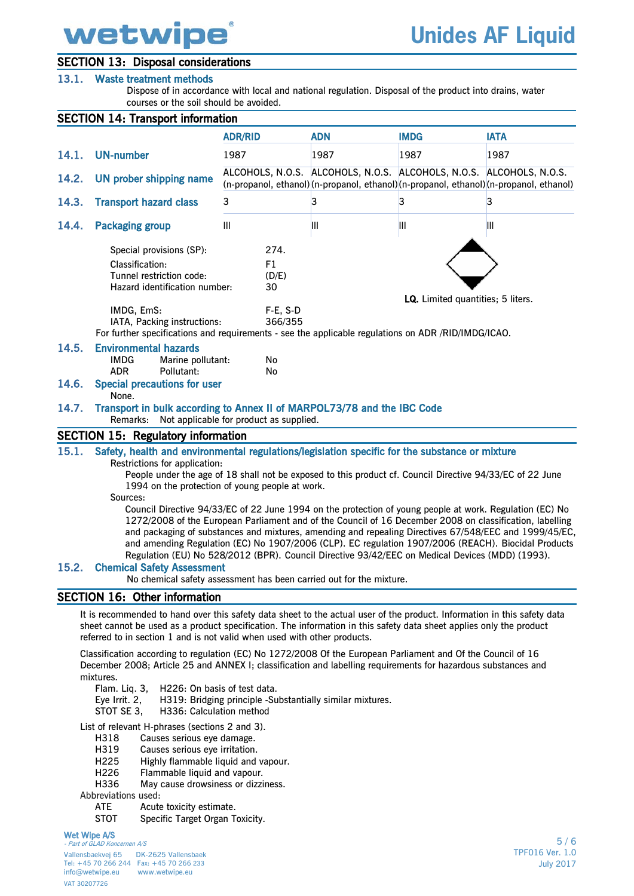# wetwipe

## SECTION 13: Disposal considerations

## 13.1. Waste treatment methods

Dispose of in accordance with local and national regulation. Disposal of the product into drains, water courses or the soil should be avoided.

## SECTION 14: Transport information

|                | <b>SECTION 14: Transport Information</b>                                                                                                                                                                                                                                                                                                                                                                                                                                                                                                                                                                                                                                                                                                                                                                                                                                                     |                                                           |            |                                                                     |                                                                                      |
|----------------|----------------------------------------------------------------------------------------------------------------------------------------------------------------------------------------------------------------------------------------------------------------------------------------------------------------------------------------------------------------------------------------------------------------------------------------------------------------------------------------------------------------------------------------------------------------------------------------------------------------------------------------------------------------------------------------------------------------------------------------------------------------------------------------------------------------------------------------------------------------------------------------------|-----------------------------------------------------------|------------|---------------------------------------------------------------------|--------------------------------------------------------------------------------------|
|                |                                                                                                                                                                                                                                                                                                                                                                                                                                                                                                                                                                                                                                                                                                                                                                                                                                                                                              | <b>ADR/RID</b>                                            | <b>ADN</b> | <b>IMDG</b>                                                         | <b>IATA</b>                                                                          |
| 14.1.          | <b>UN-number</b>                                                                                                                                                                                                                                                                                                                                                                                                                                                                                                                                                                                                                                                                                                                                                                                                                                                                             | 1987                                                      | 1987       | 1987                                                                | 1987                                                                                 |
| 14.2.          | UN prober shipping name                                                                                                                                                                                                                                                                                                                                                                                                                                                                                                                                                                                                                                                                                                                                                                                                                                                                      |                                                           |            | ALCOHOLS, N.O.S. ALCOHOLS, N.O.S. ALCOHOLS, N.O.S. ALCOHOLS, N.O.S. | (n-propanol, ethanol)(n-propanol, ethanol)(n-propanol, ethanol)(n-propanol, ethanol) |
| 14.3.          | <b>Transport hazard class</b>                                                                                                                                                                                                                                                                                                                                                                                                                                                                                                                                                                                                                                                                                                                                                                                                                                                                | 3                                                         | 3          | 3                                                                   | 3                                                                                    |
| 14.4.          | <b>Packaging group</b>                                                                                                                                                                                                                                                                                                                                                                                                                                                                                                                                                                                                                                                                                                                                                                                                                                                                       | Ш                                                         | Ш          | Ш                                                                   | Ш                                                                                    |
|                | Special provisions (SP):<br>Classification:<br>Tunnel restriction code:<br>Hazard identification number:<br>IMDG, EmS:<br>IATA, Packing instructions:<br>For further specifications and requirements - see the applicable regulations on ADR /RID/IMDG/ICAO.                                                                                                                                                                                                                                                                                                                                                                                                                                                                                                                                                                                                                                 | 274.<br>F1<br>(D/E)<br>30<br>$F-E$ , S-D<br>366/355       |            | LQ. Limited quantities; 5 liters.                                   |                                                                                      |
| 14.5.          | <b>Environmental hazards</b><br><b>IMDG</b><br>Marine pollutant:<br><b>ADR</b><br>Pollutant:                                                                                                                                                                                                                                                                                                                                                                                                                                                                                                                                                                                                                                                                                                                                                                                                 | No<br>No                                                  |            |                                                                     |                                                                                      |
| 14.6.          | <b>Special precautions for user</b><br>None.                                                                                                                                                                                                                                                                                                                                                                                                                                                                                                                                                                                                                                                                                                                                                                                                                                                 |                                                           |            |                                                                     |                                                                                      |
| 14.7.          | Transport in bulk according to Annex II of MARPOL73/78 and the IBC Code<br>Remarks:                                                                                                                                                                                                                                                                                                                                                                                                                                                                                                                                                                                                                                                                                                                                                                                                          | Not applicable for product as supplied.                   |            |                                                                     |                                                                                      |
|                | <b>SECTION 15: Regulatory information</b>                                                                                                                                                                                                                                                                                                                                                                                                                                                                                                                                                                                                                                                                                                                                                                                                                                                    |                                                           |            |                                                                     |                                                                                      |
| 15.1.<br>15.2. | Safety, health and environmental regulations/legislation specific for the substance or mixture<br>Restrictions for application:<br>People under the age of 18 shall not be exposed to this product cf. Council Directive 94/33/EC of 22 June<br>1994 on the protection of young people at work.<br>Sources:<br>Council Directive 94/33/EC of 22 June 1994 on the protection of young people at work. Regulation (EC) No<br>1272/2008 of the European Parliament and of the Council of 16 December 2008 on classification, labelling<br>and packaging of substances and mixtures, amending and repealing Directives 67/548/EEC and 1999/45/EC,<br>and amending Regulation (EC) No 1907/2006 (CLP). EC regulation 1907/2006 (REACH). Biocidal Products<br>Regulation (EU) No 528/2012 (BPR). Council Directive 93/42/EEC on Medical Devices (MDD) (1993).<br><b>Chemical Safety Assessment</b> |                                                           |            |                                                                     |                                                                                      |
|                | No chemical safety assessment has been carried out for the mixture.                                                                                                                                                                                                                                                                                                                                                                                                                                                                                                                                                                                                                                                                                                                                                                                                                          |                                                           |            |                                                                     |                                                                                      |
|                | SECTION 16: Other information                                                                                                                                                                                                                                                                                                                                                                                                                                                                                                                                                                                                                                                                                                                                                                                                                                                                |                                                           |            |                                                                     |                                                                                      |
|                | It is recommended to hand over this safety data sheet to the actual user of the product. Information in this safety data<br>sheet cannot be used as a product specification. The information in this safety data sheet applies only the product<br>referred to in section 1 and is not valid when used with other products.                                                                                                                                                                                                                                                                                                                                                                                                                                                                                                                                                                  |                                                           |            |                                                                     |                                                                                      |
|                | Classification according to regulation (EC) No 1272/2008 Of the European Parliament and Of the Council of 16<br>December 2008; Article 25 and ANNEX I; classification and labelling requirements for hazardous substances and<br>mixtures.<br>H226: On basis of test data.<br>Flam. Liq. 3,<br>Eye Irrit. 2,<br>STOT SE 3,<br>H336: Calculation method<br>List of relevant $\Box$ phrases (sections 2 and 2)                                                                                                                                                                                                                                                                                                                                                                                                                                                                                 | H319: Bridging principle -Substantially similar mixtures. |            |                                                                     |                                                                                      |

List of relevant H-phrases (sections 2 and 3).

- Causes serious eye damage.
- H319 Causes serious eye irritation.
- H225 Highly flammable liquid and vapour.
- H226 Flammable liquid and vapour.
- H336 May cause drowsiness or dizziness.

Abbreviations used:<br>ATE Acute

- Acute toxicity estimate.
- STOT Specific Target Organ Toxicity.

#### Wet Wipe A/S

- Part of GLAD Koncernen A/S Vallensbaekvej 65 DK-2625 Vallensbaek Tel: +45 70 266 244 Fax: +45 70 266 233 info@wetwipe.eu VAT 30207726

5 / 6 TPF016 Ver. 1.0 July 2017